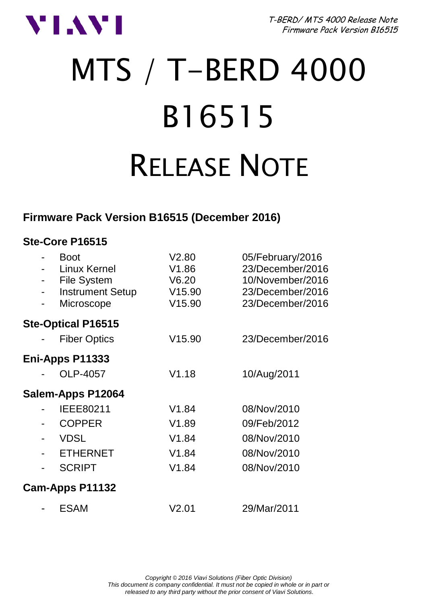

T-BERD/ MTS 4000 Release Note Firmware Pack Version B16515

# MTS / T-BERD 4000 B16515 RELEASE NOTE

### **Firmware Pack Version B16515 (December 2016)**

#### **Ste-Core P16515**

| <b>Boot</b><br>Linux Kernel<br>File System<br><b>Instrument Setup</b><br>Microscope | V2.80<br>V1.86<br>V6.20<br>V15.90<br>V15.90 | 05/February/2016<br>23/December/2016<br>10/November/2016<br>23/December/2016<br>23/December/2016 |
|-------------------------------------------------------------------------------------|---------------------------------------------|--------------------------------------------------------------------------------------------------|
| <b>Ste-Optical P16515</b>                                                           |                                             |                                                                                                  |
| <b>Fiber Optics</b>                                                                 | V15.90                                      | 23/December/2016                                                                                 |
| Eni-Apps P11333                                                                     |                                             |                                                                                                  |
| OLP-4057                                                                            | V1.18                                       | 10/Aug/2011                                                                                      |
| Salem-Apps P12064                                                                   |                                             |                                                                                                  |
| IEEE80211                                                                           | V1.84                                       | 08/Nov/2010                                                                                      |
| <b>COPPER</b>                                                                       | V1.89                                       | 09/Feb/2012                                                                                      |
| <b>VDSL</b>                                                                         | V1.84                                       | 08/Nov/2010                                                                                      |
| <b>ETHERNET</b>                                                                     | V1.84                                       | 08/Nov/2010                                                                                      |
| <b>SCRIPT</b>                                                                       | V1.84                                       | 08/Nov/2010                                                                                      |
| Cam-Apps P11132                                                                     |                                             |                                                                                                  |
| ESAM                                                                                | V2.01                                       | 29/Mar/2011                                                                                      |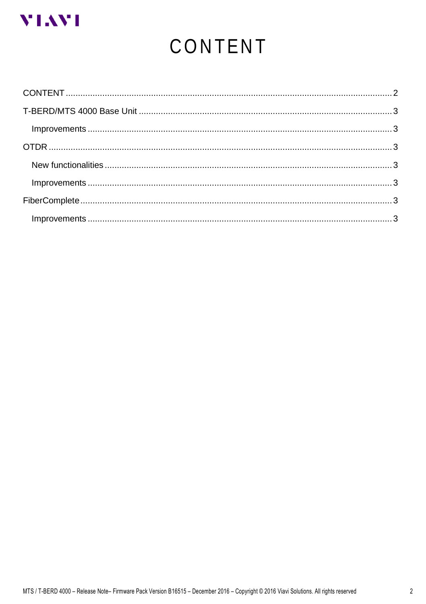<span id="page-1-0"></span>

# CONTENT